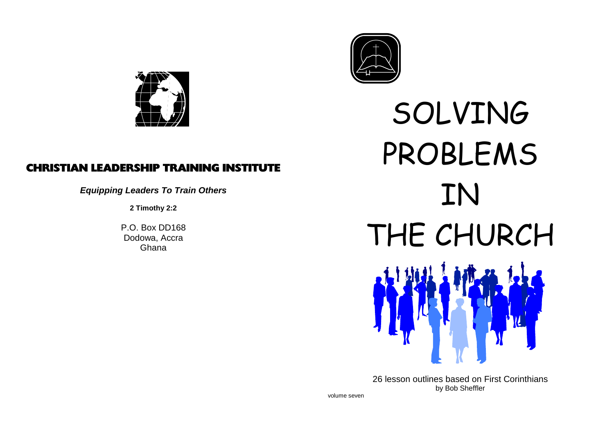

### CHRISTIAN LEADERSHIP TRAINING INSTITUTE

**Equipping Leaders To Train Others**

**2 Timothy 2:2**



SOLVINGE PROBLEMS  $\prod_{2}$  Train Others  $\prod_{2}$ P.O. Box DD168<br>Dodowa, Accra<br>Ghana Ghana

> 26 lesson outlines based on First Corinthiansby Bob Sheffler

volume seven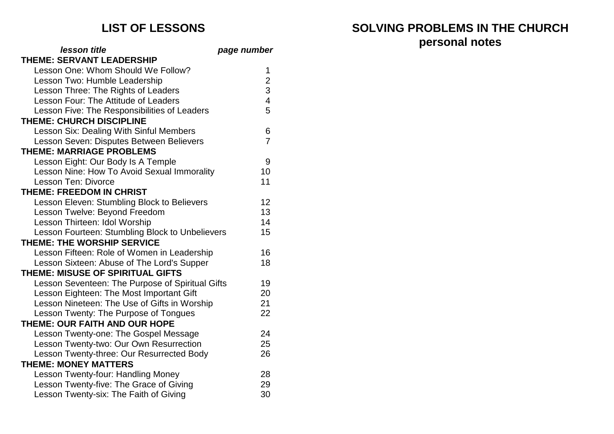### **lesson title page numberTHEME: SERVANT LEADERSHIP**

| page number |
|-------------|
|             |

| Lesson One: Whom Should We Follow?               |                         |
|--------------------------------------------------|-------------------------|
| Lesson Two: Humble Leadership                    | $\overline{\mathbf{c}}$ |
| Lesson Three: The Rights of Leaders              | 3<br>4                  |
| Lesson Four: The Attitude of Leaders             |                         |
| Lesson Five: The Responsibilities of Leaders     | 5                       |
| <b>THEME: CHURCH DISCIPLINE</b>                  |                         |
| <b>Lesson Six: Dealing With Sinful Members</b>   | 6                       |
| Lesson Seven: Disputes Between Believers         | $\overline{7}$          |
| <b>THEME: MARRIAGE PROBLEMS</b>                  |                         |
| Lesson Eight: Our Body Is A Temple               | 9                       |
| Lesson Nine: How To Avoid Sexual Immorality      | 10                      |
| Lesson Ten: Divorce                              | 11                      |
| <b>THEME: FREEDOM IN CHRIST</b>                  |                         |
| Lesson Eleven: Stumbling Block to Believers      | 12                      |
| Lesson Twelve: Beyond Freedom                    | 13                      |
| Lesson Thirteen: Idol Worship                    | 14                      |
| Lesson Fourteen: Stumbling Block to Unbelievers  | 15                      |
| <b>THEME: THE WORSHIP SERVICE</b>                |                         |
| Lesson Fifteen: Role of Women in Leadership      | 16                      |
| Lesson Sixteen: Abuse of The Lord's Supper       | 18                      |
| THEME: MISUSE OF SPIRITUAL GIFTS                 |                         |
| Lesson Seventeen: The Purpose of Spiritual Gifts | 19                      |
| Lesson Eighteen: The Most Important Gift         | 20                      |
| Lesson Nineteen: The Use of Gifts in Worship     | 21                      |
| Lesson Twenty: The Purpose of Tongues            | 22                      |
| THEME: OUR FAITH AND OUR HOPE                    |                         |
| Lesson Twenty-one: The Gospel Message            | 24                      |
| Lesson Twenty-two: Our Own Resurrection          | 25                      |
| Lesson Twenty-three: Our Resurrected Body        | 26                      |
| <b>THEME: MONEY MATTERS</b>                      |                         |
| Lesson Twenty-four: Handling Money               | 28                      |
| Lesson Twenty-five: The Grace of Giving          | 29                      |
| Lesson Twenty-six: The Faith of Giving           | 30                      |

# **LIST OF LESSONS SOLVING PROBLEMS IN THE CHURCHpersonal notes**